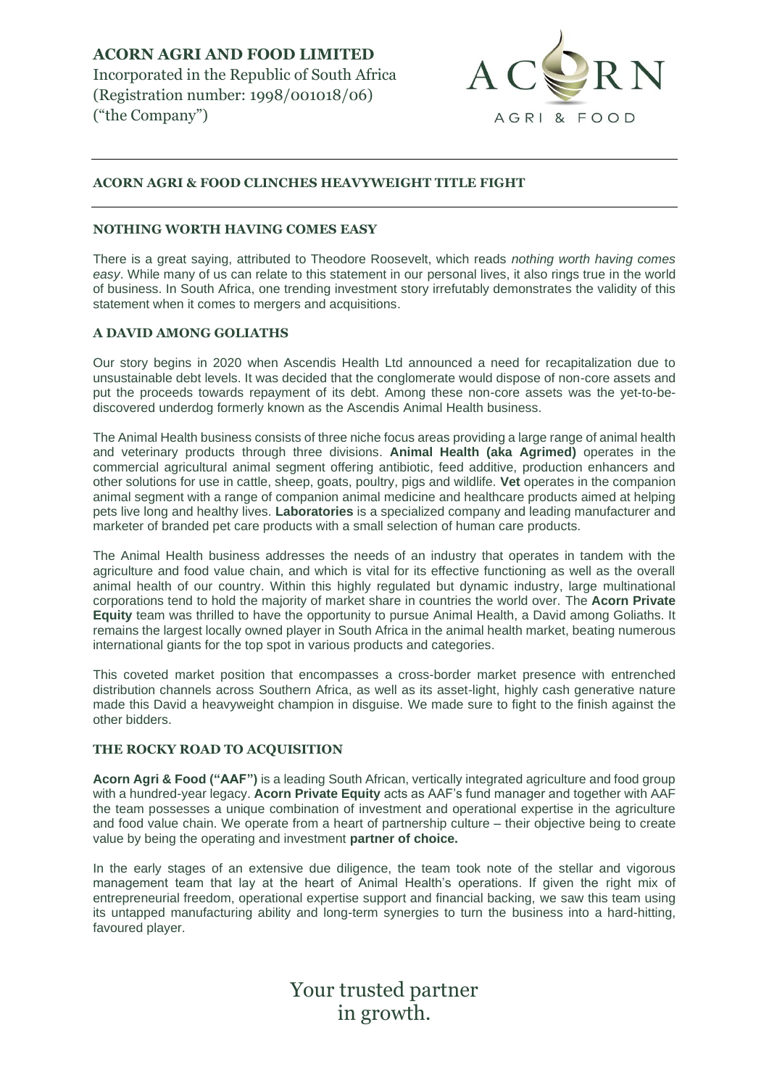**ACORN AGRI AND FOOD LIMITED**  Incorporated in the Republic of South Africa (Registration number: 1998/001018/06) ("the Company")



# **ACORN AGRI & FOOD CLINCHES HEAVYWEIGHT TITLE FIGHT**

### **NOTHING WORTH HAVING COMES EASY**

There is a great saying, attributed to Theodore Roosevelt, which reads *nothing worth having comes easy*. While many of us can relate to this statement in our personal lives, it also rings true in the world of business. In South Africa, one trending investment story irrefutably demonstrates the validity of this statement when it comes to mergers and acquisitions.

## **A DAVID AMONG GOLIATHS**

Our story begins in 2020 when Ascendis Health Ltd announced a need for recapitalization due to unsustainable debt levels. It was decided that the conglomerate would dispose of non-core assets and put the proceeds towards repayment of its debt. Among these non-core assets was the yet-to-bediscovered underdog formerly known as the Ascendis Animal Health business.

The Animal Health business consists of three niche focus areas providing a large range of animal health and veterinary products through three divisions. **Animal Health (aka Agrimed)** operates in the commercial agricultural animal segment offering antibiotic, feed additive, production enhancers and other solutions for use in cattle, sheep, goats, poultry, pigs and wildlife. **Vet** operates in the companion animal segment with a range of companion animal medicine and healthcare products aimed at helping pets live long and healthy lives. **Laboratories** is a specialized company and leading manufacturer and marketer of branded pet care products with a small selection of human care products.

The Animal Health business addresses the needs of an industry that operates in tandem with the agriculture and food value chain, and which is vital for its effective functioning as well as the overall animal health of our country. Within this highly regulated but dynamic industry, large multinational corporations tend to hold the majority of market share in countries the world over. The **Acorn Private Equity** team was thrilled to have the opportunity to pursue Animal Health, a David among Goliaths. It remains the largest locally owned player in South Africa in the animal health market, beating numerous international giants for the top spot in various products and categories.

This coveted market position that encompasses a cross-border market presence with entrenched distribution channels across Southern Africa, as well as its asset-light, highly cash generative nature made this David a heavyweight champion in disguise. We made sure to fight to the finish against the other bidders.

#### **THE ROCKY ROAD TO ACQUISITION**

**Acorn Agri & Food ("AAF")** is a leading South African, vertically integrated agriculture and food group with a hundred-year legacy. **Acorn Private Equity** acts as AAF's fund manager and together with AAF the team possesses a unique combination of investment and operational expertise in the agriculture and food value chain. We operate from a heart of partnership culture – their objective being to create value by being the operating and investment **partner of choice.**

In the early stages of an extensive due diligence, the team took note of the stellar and vigorous management team that lay at the heart of Animal Health's operations. If given the right mix of entrepreneurial freedom, operational expertise support and financial backing, we saw this team using its untapped manufacturing ability and long-term synergies to turn the business into a hard-hitting, favoured player.

> Your trusted partner in growth.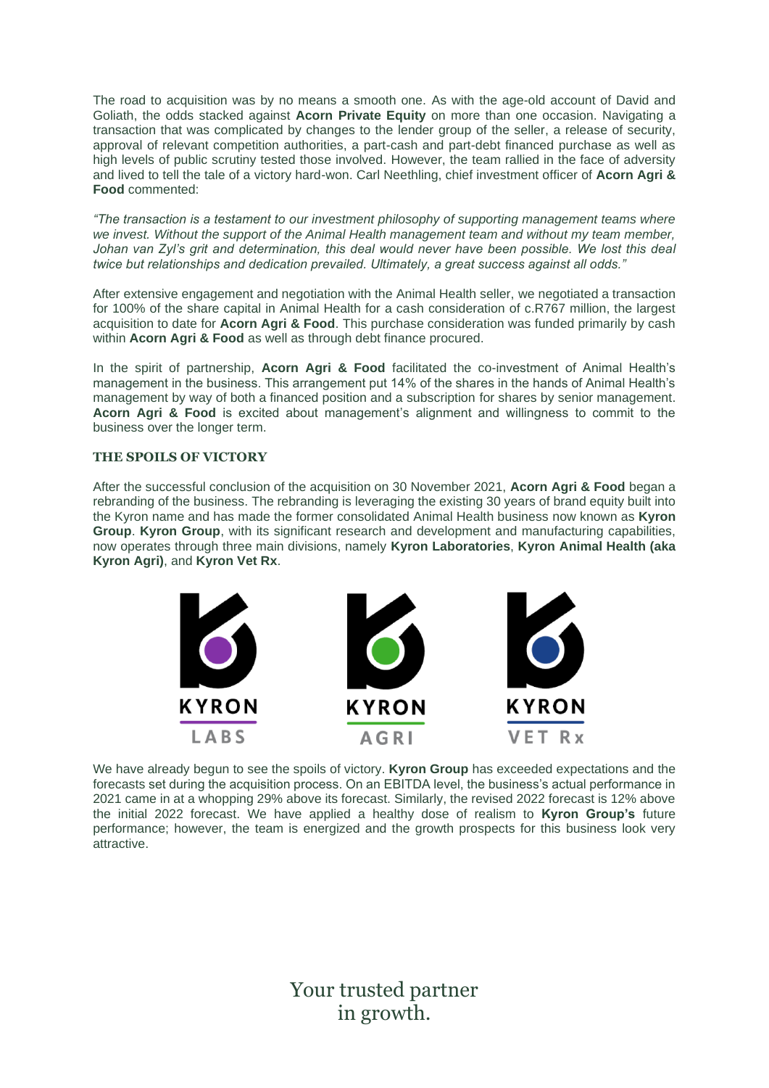The road to acquisition was by no means a smooth one. As with the age-old account of David and Goliath, the odds stacked against **Acorn Private Equity** on more than one occasion. Navigating a transaction that was complicated by changes to the lender group of the seller, a release of security, approval of relevant competition authorities, a part-cash and part-debt financed purchase as well as high levels of public scrutiny tested those involved. However, the team rallied in the face of adversity and lived to tell the tale of a victory hard-won. Carl Neethling, chief investment officer of **Acorn Agri & Food** commented:

*"The transaction is a testament to our investment philosophy of supporting management teams where we invest. Without the support of the Animal Health management team and without my team member, Johan van Zyl's grit and determination, this deal would never have been possible. We lost this deal twice but relationships and dedication prevailed. Ultimately, a great success against all odds."*

After extensive engagement and negotiation with the Animal Health seller, we negotiated a transaction for 100% of the share capital in Animal Health for a cash consideration of c.R767 million, the largest acquisition to date for **Acorn Agri & Food**. This purchase consideration was funded primarily by cash within **Acorn Agri & Food** as well as through debt finance procured.

In the spirit of partnership, **Acorn Agri & Food** facilitated the co-investment of Animal Health's management in the business. This arrangement put 14% of the shares in the hands of Animal Health's management by way of both a financed position and a subscription for shares by senior management. **Acorn Agri & Food** is excited about management's alignment and willingness to commit to the business over the longer term.

## **THE SPOILS OF VICTORY**

After the successful conclusion of the acquisition on 30 November 2021, **Acorn Agri & Food** began a rebranding of the business. The rebranding is leveraging the existing 30 years of brand equity built into the Kyron name and has made the former consolidated Animal Health business now known as **Kyron Group**. **Kyron Group**, with its significant research and development and manufacturing capabilities, now operates through three main divisions, namely **Kyron Laboratories**, **Kyron Animal Health (aka Kyron Agri)**, and **Kyron Vet Rx**.



We have already begun to see the spoils of victory. **Kyron Group** has exceeded expectations and the forecasts set during the acquisition process. On an EBITDA level, the business's actual performance in 2021 came in at a whopping 29% above its forecast. Similarly, the revised 2022 forecast is 12% above the initial 2022 forecast. We have applied a healthy dose of realism to **Kyron Group's** future performance; however, the team is energized and the growth prospects for this business look very attractive.

> Your trusted partner in growth.